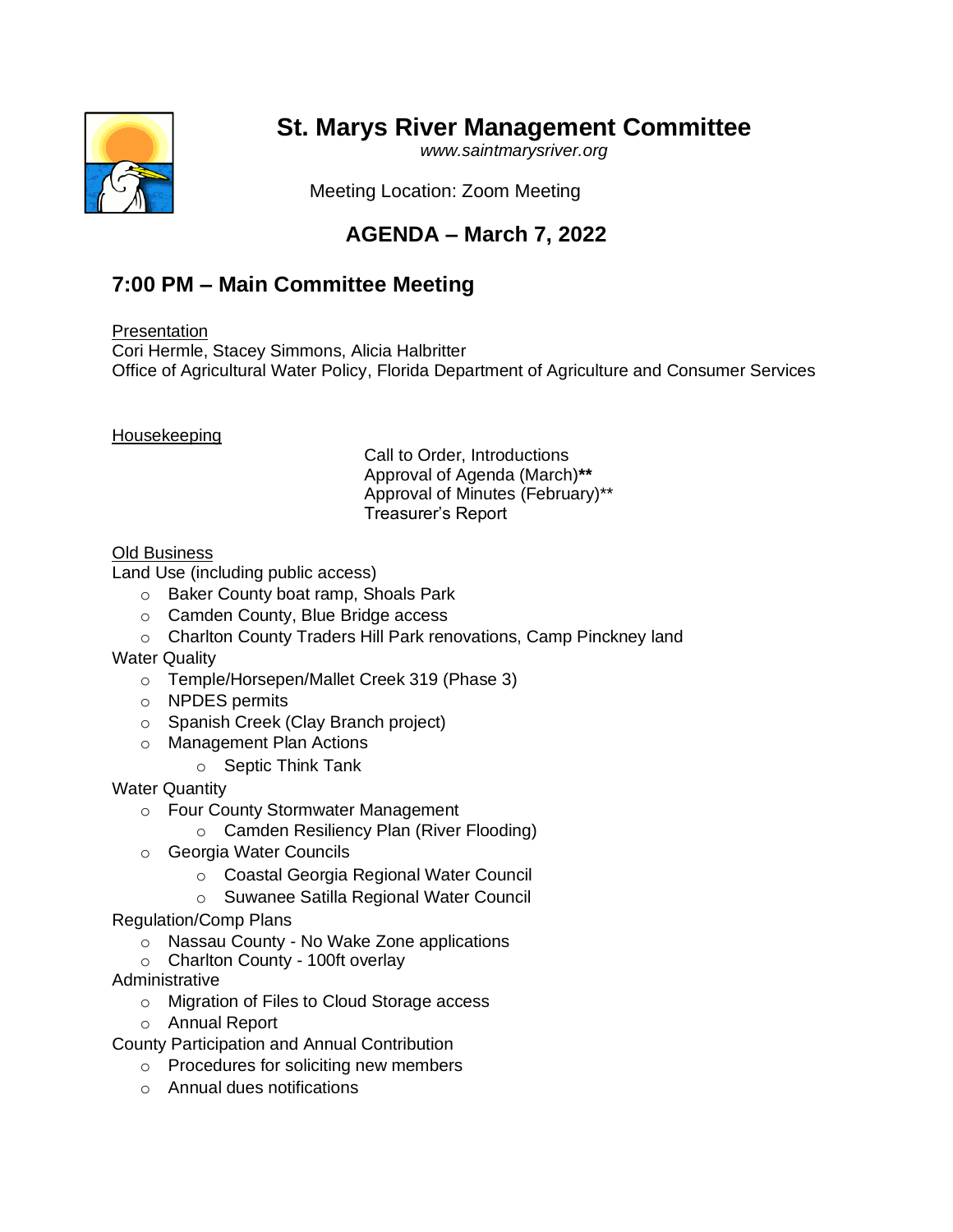## **St. Marys River Management Committee**

*www.saintmarysriver.org*



Meeting Location: Zoom Meeting

## **AGENDA – March 7, 2022**

## **7:00 PM – Main Committee Meeting**

**Presentation** 

Cori Hermle, Stacey Simmons, Alicia Halbritter Office of Agricultural Water Policy, Florida Department of Agriculture and Consumer Services

Housekeeping

Call to Order, Introductions Approval of Agenda (March)**\*\*** Approval of Minutes (February)\*\* Treasurer's Report

## Old Business

Land Use (including public access)

- o Baker County boat ramp, Shoals Park
- o Camden County, Blue Bridge access
- o Charlton County Traders Hill Park renovations, Camp Pinckney land
- Water Quality
	- o Temple/Horsepen/Mallet Creek 319 (Phase 3)
	- o NPDES permits
	- o Spanish Creek (Clay Branch project)
	- o Management Plan Actions
		- o Septic Think Tank

Water Quantity

- o Four County Stormwater Management
	- o Camden Resiliency Plan (River Flooding)
- o Georgia Water Councils
	- o Coastal Georgia Regional Water Council
	- o Suwanee Satilla Regional Water Council
- Regulation/Comp Plans
	- o Nassau County No Wake Zone applications
	- o Charlton County 100ft overlay
- Administrative
	- o Migration of Files to Cloud Storage access
	- o Annual Report

County Participation and Annual Contribution

- o Procedures for soliciting new members
- o Annual dues notifications